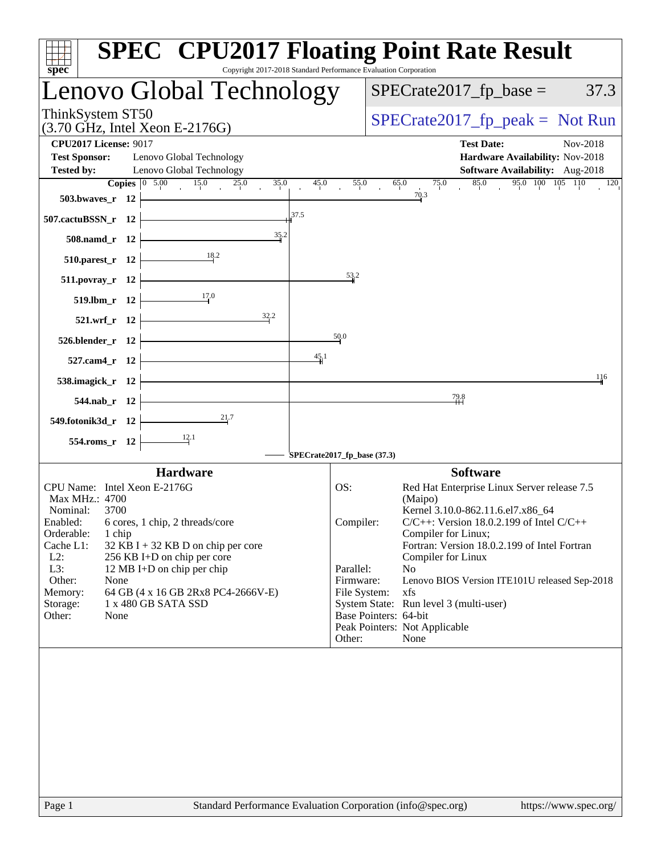| <b>SPEC<sup>®</sup> CPU2017 Floating Point Rate Result</b><br>Copyright 2017-2018 Standard Performance Evaluation Corporation<br>spec <sup>®</sup>                                                                                                                                                                                                                   |                                                                                                                                                                                                                                                                                                                                                                                                                                                                                      |
|----------------------------------------------------------------------------------------------------------------------------------------------------------------------------------------------------------------------------------------------------------------------------------------------------------------------------------------------------------------------|--------------------------------------------------------------------------------------------------------------------------------------------------------------------------------------------------------------------------------------------------------------------------------------------------------------------------------------------------------------------------------------------------------------------------------------------------------------------------------------|
| Lenovo Global Technology                                                                                                                                                                                                                                                                                                                                             | $SPECrate2017_fp\_base =$<br>37.3                                                                                                                                                                                                                                                                                                                                                                                                                                                    |
| ThinkSystem ST50<br>$(3.70 \text{ GHz}, \text{Intel Xeon E-2176G})$                                                                                                                                                                                                                                                                                                  | $SPECrate2017_fp\_peak = Not Run$                                                                                                                                                                                                                                                                                                                                                                                                                                                    |
| <b>CPU2017 License: 9017</b><br><b>Test Sponsor:</b><br>Lenovo Global Technology<br>Lenovo Global Technology<br><b>Tested by:</b>                                                                                                                                                                                                                                    | <b>Test Date:</b><br>Nov-2018<br>Hardware Availability: Nov-2018<br><b>Software Availability:</b> Aug-2018                                                                                                                                                                                                                                                                                                                                                                           |
| Copies $\begin{array}{ c c } \hline 0 & 5.00 \\\hline \end{array}$<br>15.0<br>25.0<br>35.0<br>45.0<br>$503.bwaves_r 12$<br>37.5<br>507.cactuBSSN_r 12                                                                                                                                                                                                                | 95.0 100 105 110<br>55.0<br>65.0<br>75.0<br>85.0<br>120<br>70.3                                                                                                                                                                                                                                                                                                                                                                                                                      |
| 35.2<br>508.namd_r 12                                                                                                                                                                                                                                                                                                                                                |                                                                                                                                                                                                                                                                                                                                                                                                                                                                                      |
| 18.2<br>$510.parest_r$ 12                                                                                                                                                                                                                                                                                                                                            |                                                                                                                                                                                                                                                                                                                                                                                                                                                                                      |
| $511. povray_r 12$<br>17.0<br>519.lbm_r 12                                                                                                                                                                                                                                                                                                                           | 53.2                                                                                                                                                                                                                                                                                                                                                                                                                                                                                 |
| 32.2<br>521.wrf_r 12                                                                                                                                                                                                                                                                                                                                                 |                                                                                                                                                                                                                                                                                                                                                                                                                                                                                      |
| 50.0<br>526.blender_r 12                                                                                                                                                                                                                                                                                                                                             |                                                                                                                                                                                                                                                                                                                                                                                                                                                                                      |
| 45/1<br>527.cam4_r 12                                                                                                                                                                                                                                                                                                                                                |                                                                                                                                                                                                                                                                                                                                                                                                                                                                                      |
| 538.imagick_r 12                                                                                                                                                                                                                                                                                                                                                     | 116                                                                                                                                                                                                                                                                                                                                                                                                                                                                                  |
| 544.nab_r 12<br>21.7                                                                                                                                                                                                                                                                                                                                                 | $\frac{79.8}{4}$                                                                                                                                                                                                                                                                                                                                                                                                                                                                     |
| 549.fotonik3d_r 12<br>$\frac{12.1}{ }$<br>554.roms_r 12                                                                                                                                                                                                                                                                                                              |                                                                                                                                                                                                                                                                                                                                                                                                                                                                                      |
| SPECrate2017_fp_base (37.3)                                                                                                                                                                                                                                                                                                                                          |                                                                                                                                                                                                                                                                                                                                                                                                                                                                                      |
| <b>Hardware</b><br>CPU Name: Intel Xeon E-2176G<br>OS:                                                                                                                                                                                                                                                                                                               | <b>Software</b>                                                                                                                                                                                                                                                                                                                                                                                                                                                                      |
| Max MHz.: 4700<br>Nominal:<br>3700<br>6 cores, 1 chip, 2 threads/core<br>Enabled:<br>Orderable:<br>1 chip<br>Cache L1:<br>$32$ KB I + 32 KB D on chip per core<br>$L2$ :<br>256 KB I+D on chip per core<br>L3:<br>12 MB I+D on chip per chip<br>Other:<br>None<br>Memory:<br>64 GB (4 x 16 GB 2Rx8 PC4-2666V-E)<br>1 x 480 GB SATA SSD<br>Storage:<br>Other:<br>None | Red Hat Enterprise Linux Server release 7.5<br>(Maipo)<br>Kernel 3.10.0-862.11.6.el7.x86_64<br>$C/C++$ : Version 18.0.2.199 of Intel $C/C++$<br>Compiler:<br>Compiler for Linux;<br>Fortran: Version 18.0.2.199 of Intel Fortran<br>Compiler for Linux<br>No<br>Parallel:<br>Firmware:<br>Lenovo BIOS Version ITE101U released Sep-2018<br>File System:<br>xfs<br>System State: Run level 3 (multi-user)<br>Base Pointers: 64-bit<br>Peak Pointers: Not Applicable<br>Other:<br>None |
|                                                                                                                                                                                                                                                                                                                                                                      |                                                                                                                                                                                                                                                                                                                                                                                                                                                                                      |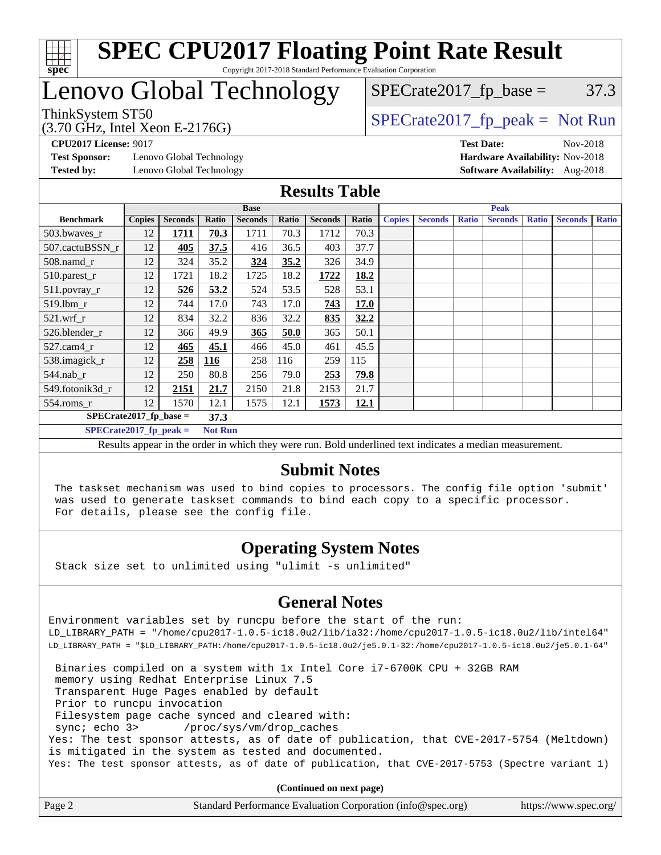

### **[SPEC CPU2017 Floating Point Rate Result](http://www.spec.org/auto/cpu2017/Docs/result-fields.html#SPECCPU2017FloatingPointRateResult)** Copyright 2017-2018 Standard Performance Evaluation Corporation

# Lenovo Global Technology

ThinkSystem ST50  $SPECrate2017$  fp\_peak = Not Run  $SPECTate2017<sub>fp</sub> base =  $37.3$$ 

(3.70 GHz, Intel Xeon E-2176G)

**[Test Sponsor:](http://www.spec.org/auto/cpu2017/Docs/result-fields.html#TestSponsor)** Lenovo Global Technology **[Hardware Availability:](http://www.spec.org/auto/cpu2017/Docs/result-fields.html#HardwareAvailability)** Nov-2018 **[Tested by:](http://www.spec.org/auto/cpu2017/Docs/result-fields.html#Testedby)** Lenovo Global Technology **[Software Availability:](http://www.spec.org/auto/cpu2017/Docs/result-fields.html#SoftwareAvailability)** Aug-2018

**[CPU2017 License:](http://www.spec.org/auto/cpu2017/Docs/result-fields.html#CPU2017License)** 9017 **[Test Date:](http://www.spec.org/auto/cpu2017/Docs/result-fields.html#TestDate)** Nov-2018

### **[Results Table](http://www.spec.org/auto/cpu2017/Docs/result-fields.html#ResultsTable)**

|                          | <b>Base</b>    |                |            |                |       |                |             | <b>Peak</b>   |                |              |                |              |                |              |
|--------------------------|----------------|----------------|------------|----------------|-------|----------------|-------------|---------------|----------------|--------------|----------------|--------------|----------------|--------------|
| <b>Benchmark</b>         | <b>Copies</b>  | <b>Seconds</b> | Ratio      | <b>Seconds</b> | Ratio | <b>Seconds</b> | Ratio       | <b>Copies</b> | <b>Seconds</b> | <b>Ratio</b> | <b>Seconds</b> | <b>Ratio</b> | <b>Seconds</b> | <b>Ratio</b> |
| 503.bwaves_r             | 12             | 1711           | 70.3       | 1711           | 70.3  | 1712           | 70.3        |               |                |              |                |              |                |              |
| 507.cactuBSSN r          | 12             | 405            | 37.5       | 416            | 36.5  | 403            | 37.7        |               |                |              |                |              |                |              |
| $508$ .namd $r$          | 12             | 324            | 35.2       | 324            | 35.2  | 326            | 34.9        |               |                |              |                |              |                |              |
| 510.parest_r             | 12             | 1721           | 18.2       | 1725           | 18.2  | 1722           | 18.2        |               |                |              |                |              |                |              |
| 511.povray_r             | 12             | 526            | 53.2       | 524            | 53.5  | 528            | 53.1        |               |                |              |                |              |                |              |
| 519.lbm r                | 12             | 744            | 17.0       | 743            | 17.0  | 743            | <b>17.0</b> |               |                |              |                |              |                |              |
| $521.wrf_r$              | 12             | 834            | 32.2       | 836            | 32.2  | 835            | 32.2        |               |                |              |                |              |                |              |
| 526.blender r            | 12             | 366            | 49.9       | 365            | 50.0  | 365            | 50.1        |               |                |              |                |              |                |              |
| $527$ .cam $4r$          | 12             | 465            | 45.1       | 466            | 45.0  | 461            | 45.5        |               |                |              |                |              |                |              |
| 538.imagick_r            | 12             | 258            | <b>116</b> | 258            | 116   | 259            | 115         |               |                |              |                |              |                |              |
| $544$ .nab_r             | 12             | 250            | 80.8       | 256            | 79.0  | 253            | 79.8        |               |                |              |                |              |                |              |
| 549.fotonik3d r          | 12             | 2151           | 21.7       | 2150           | 21.8  | 2153           | 21.7        |               |                |              |                |              |                |              |
| $554$ .roms_r            | 12             | 1570           | 12.1       | 1575           | 12.1  | 1573           | 12.1        |               |                |              |                |              |                |              |
| $SPECrate2017$ fp base = | 37.3           |                |            |                |       |                |             |               |                |              |                |              |                |              |
| $SPECrate2017$ fp peak = | <b>Not Run</b> |                |            |                |       |                |             |               |                |              |                |              |                |              |

Results appear in the [order in which they were run.](http://www.spec.org/auto/cpu2017/Docs/result-fields.html#RunOrder) Bold underlined text [indicates a median measurement.](http://www.spec.org/auto/cpu2017/Docs/result-fields.html#Median)

### **[Submit Notes](http://www.spec.org/auto/cpu2017/Docs/result-fields.html#SubmitNotes)**

 The taskset mechanism was used to bind copies to processors. The config file option 'submit' was used to generate taskset commands to bind each copy to a specific processor. For details, please see the config file.

## **[Operating System Notes](http://www.spec.org/auto/cpu2017/Docs/result-fields.html#OperatingSystemNotes)**

Stack size set to unlimited using "ulimit -s unlimited"

## **[General Notes](http://www.spec.org/auto/cpu2017/Docs/result-fields.html#GeneralNotes)**

Environment variables set by runcpu before the start of the run: LD\_LIBRARY\_PATH = "/home/cpu2017-1.0.5-ic18.0u2/lib/ia32:/home/cpu2017-1.0.5-ic18.0u2/lib/intel64" LD\_LIBRARY\_PATH = "\$LD\_LIBRARY\_PATH:/home/cpu2017-1.0.5-ic18.0u2/je5.0.1-32:/home/cpu2017-1.0.5-ic18.0u2/je5.0.1-64"

 Binaries compiled on a system with 1x Intel Core i7-6700K CPU + 32GB RAM memory using Redhat Enterprise Linux 7.5 Transparent Huge Pages enabled by default Prior to runcpu invocation Filesystem page cache synced and cleared with: sync; echo 3> /proc/sys/vm/drop\_caches Yes: The test sponsor attests, as of date of publication, that CVE-2017-5754 (Meltdown) is mitigated in the system as tested and documented. Yes: The test sponsor attests, as of date of publication, that CVE-2017-5753 (Spectre variant 1)

**(Continued on next page)**

| Page 2 | Standard Performance Evaluation Corporation (info@spec.org) | https://www.spec.org/ |
|--------|-------------------------------------------------------------|-----------------------|
|--------|-------------------------------------------------------------|-----------------------|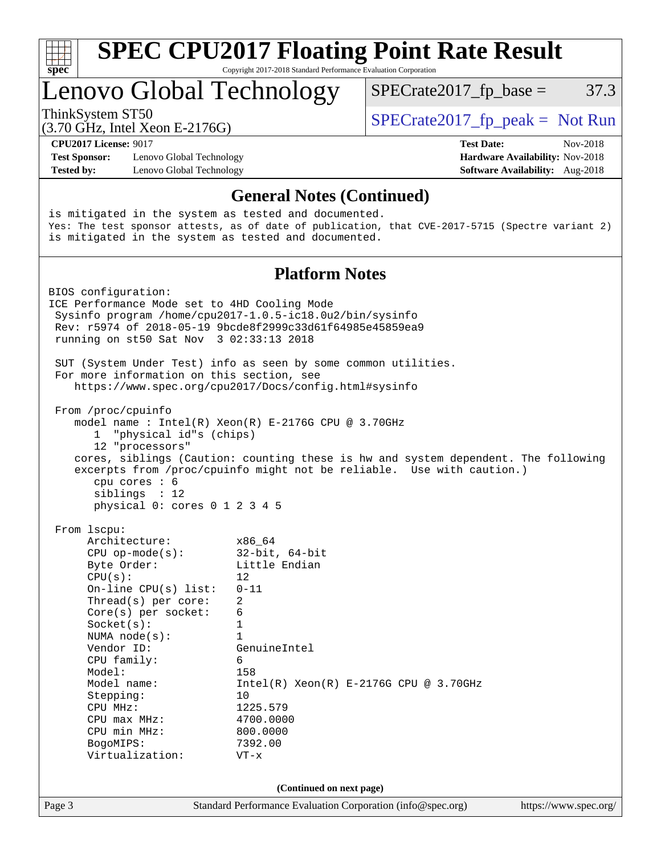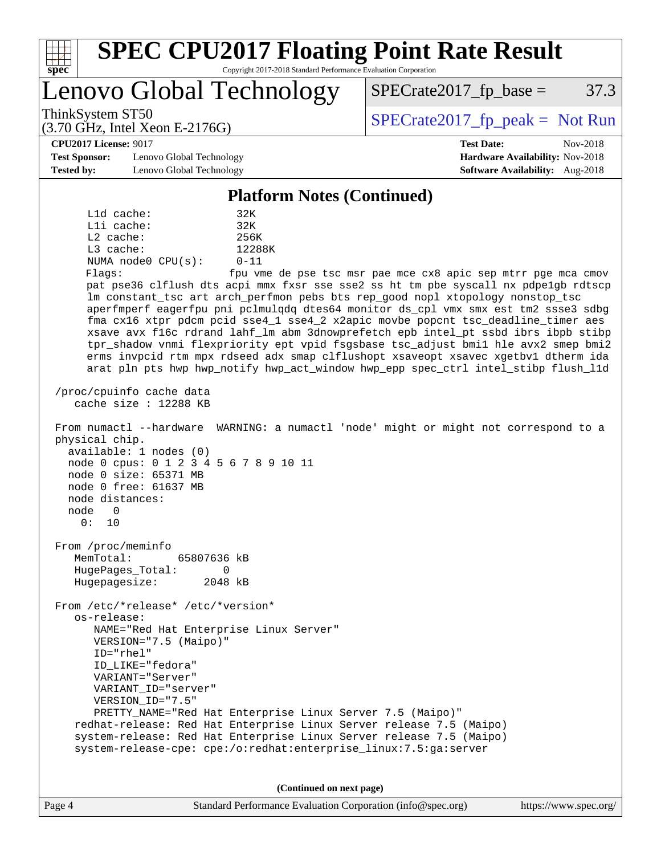| <b>SPEC CPU2017 Floating Point Rate Result</b><br>spec<br>Copyright 2017-2018 Standard Performance Evaluation Corporation                                                                                                                                              |                                                                           |
|------------------------------------------------------------------------------------------------------------------------------------------------------------------------------------------------------------------------------------------------------------------------|---------------------------------------------------------------------------|
| Lenovo Global Technology                                                                                                                                                                                                                                               | 37.3<br>$SPECrate2017fp base =$                                           |
| ThinkSystem ST50<br>$(3.70 \text{ GHz}, \text{Intel Xeon E-2176G})$                                                                                                                                                                                                    | $SPECrate2017fr peak = Not Run$                                           |
| <b>CPU2017 License: 9017</b>                                                                                                                                                                                                                                           | <b>Test Date:</b><br>Nov-2018                                             |
| <b>Test Sponsor:</b><br>Lenovo Global Technology<br><b>Tested by:</b><br>Lenovo Global Technology                                                                                                                                                                      | Hardware Availability: Nov-2018<br><b>Software Availability:</b> Aug-2018 |
|                                                                                                                                                                                                                                                                        |                                                                           |
| <b>Platform Notes (Continued)</b>                                                                                                                                                                                                                                      |                                                                           |
| L1d cache:<br>32K<br>Lli cache:<br>32K<br>L2 cache:<br>256K                                                                                                                                                                                                            |                                                                           |
| L3 cache:<br>12288K                                                                                                                                                                                                                                                    |                                                                           |
| NUMA node0 CPU(s):<br>$0 - 11$<br>Flags:                                                                                                                                                                                                                               | fpu vme de pse tsc msr pae mce cx8 apic sep mtrr pge mca cmov             |
| pat pse36 clflush dts acpi mmx fxsr sse sse2 ss ht tm pbe syscall nx pdpelgb rdtscp                                                                                                                                                                                    |                                                                           |
| lm constant_tsc art arch_perfmon pebs bts rep_good nopl xtopology nonstop_tsc                                                                                                                                                                                          |                                                                           |
| aperfmperf eagerfpu pni pclmulqdq dtes64 monitor ds_cpl vmx smx est tm2 ssse3 sdbg<br>fma cx16 xtpr pdcm pcid sse4_1 sse4_2 x2apic movbe popcnt tsc_deadline_timer aes                                                                                                 |                                                                           |
| xsave avx f16c rdrand lahf_lm abm 3dnowprefetch epb intel_pt ssbd ibrs ibpb stibp                                                                                                                                                                                      |                                                                           |
| tpr_shadow vnmi flexpriority ept vpid fsgsbase tsc_adjust bmil hle avx2 smep bmi2<br>erms invpcid rtm mpx rdseed adx smap clflushopt xsaveopt xsavec xgetbvl dtherm ida                                                                                                |                                                                           |
| arat pln pts hwp hwp_notify hwp_act_window hwp_epp spec_ctrl intel_stibp flush_lld                                                                                                                                                                                     |                                                                           |
| /proc/cpuinfo cache data<br>cache size $: 12288$ KB                                                                                                                                                                                                                    |                                                                           |
| From numactl --hardware WARNING: a numactl 'node' might or might not correspond to a<br>physical chip.<br>available: 1 nodes (0)<br>node 0 cpus: 0 1 2 3 4 5 6 7 8 9 10 11<br>node 0 size: 65371 MB<br>node 0 free: 61637 MB<br>node distances:<br>node 0<br>0 :<br>10 |                                                                           |
| From /proc/meminfo                                                                                                                                                                                                                                                     |                                                                           |
| MemTotal:<br>65807636 kB<br>HugePages_Total:<br>0                                                                                                                                                                                                                      |                                                                           |
| Hugepagesize:<br>2048 kB                                                                                                                                                                                                                                               |                                                                           |
| From /etc/*release* /etc/*version*                                                                                                                                                                                                                                     |                                                                           |
| os-release:                                                                                                                                                                                                                                                            |                                                                           |
| NAME="Red Hat Enterprise Linux Server"<br>VERSION="7.5 (Maipo)"                                                                                                                                                                                                        |                                                                           |
| ID="rhel"                                                                                                                                                                                                                                                              |                                                                           |
| ID LIKE="fedora"                                                                                                                                                                                                                                                       |                                                                           |
| VARIANT="Server"<br>VARIANT ID="server"                                                                                                                                                                                                                                |                                                                           |
| VERSION_ID="7.5"                                                                                                                                                                                                                                                       |                                                                           |
| PRETTY_NAME="Red Hat Enterprise Linux Server 7.5 (Maipo)"<br>redhat-release: Red Hat Enterprise Linux Server release 7.5 (Maipo)                                                                                                                                       |                                                                           |
| system-release: Red Hat Enterprise Linux Server release 7.5 (Maipo)                                                                                                                                                                                                    |                                                                           |
| system-release-cpe: cpe:/o:redhat:enterprise_linux:7.5:ga:server                                                                                                                                                                                                       |                                                                           |
|                                                                                                                                                                                                                                                                        |                                                                           |
| (Continued on next page)                                                                                                                                                                                                                                               |                                                                           |

Page 4 Standard Performance Evaluation Corporation [\(info@spec.org\)](mailto:info@spec.org) <https://www.spec.org/>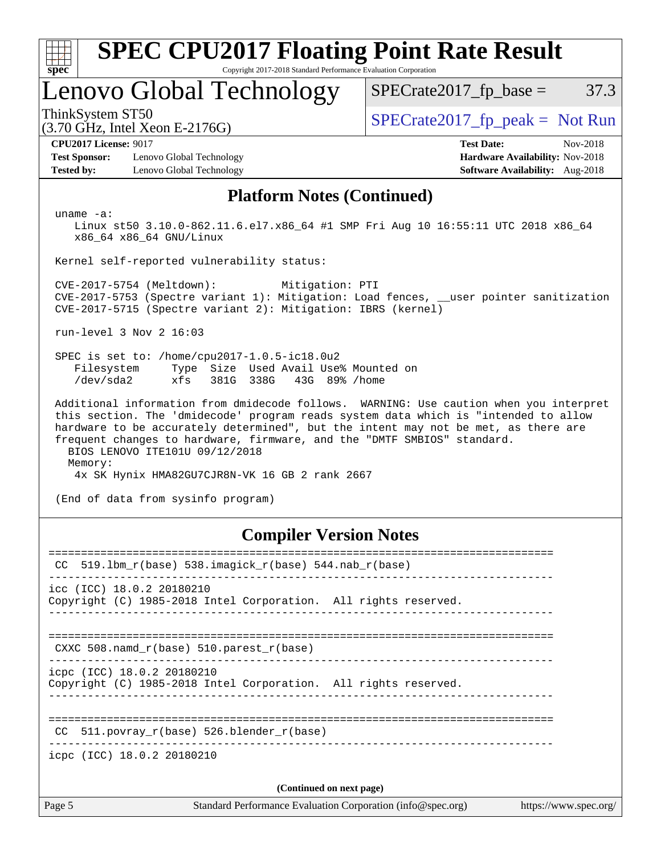| <b>SPEC CPU2017 Floating Point Rate Result</b><br>Copyright 2017-2018 Standard Performance Evaluation Corporation<br>spec                                                                                                                                                                                                                                                        |                                                                                                     |  |  |  |  |  |  |  |
|----------------------------------------------------------------------------------------------------------------------------------------------------------------------------------------------------------------------------------------------------------------------------------------------------------------------------------------------------------------------------------|-----------------------------------------------------------------------------------------------------|--|--|--|--|--|--|--|
| Lenovo Global Technology                                                                                                                                                                                                                                                                                                                                                         | 37.3<br>$SPECrate2017_fp\_base =$                                                                   |  |  |  |  |  |  |  |
| ThinkSystem ST50<br>$(3.70 \text{ GHz}, \text{Intel Xeon E-2176G})$                                                                                                                                                                                                                                                                                                              | $SPECrate2017fr peak = Not Run$                                                                     |  |  |  |  |  |  |  |
| <b>CPU2017 License: 9017</b><br><b>Test Sponsor:</b><br>Lenovo Global Technology<br><b>Tested by:</b><br>Lenovo Global Technology                                                                                                                                                                                                                                                | <b>Test Date:</b><br>Nov-2018<br>Hardware Availability: Nov-2018<br>Software Availability: Aug-2018 |  |  |  |  |  |  |  |
| <b>Platform Notes (Continued)</b>                                                                                                                                                                                                                                                                                                                                                |                                                                                                     |  |  |  |  |  |  |  |
| $uname -a$ :<br>Linux st50 3.10.0-862.11.6.el7.x86_64 #1 SMP Fri Aug 10 16:55:11 UTC 2018 x86_64<br>x86_64 x86_64 GNU/Linux                                                                                                                                                                                                                                                      |                                                                                                     |  |  |  |  |  |  |  |
| Kernel self-reported vulnerability status:                                                                                                                                                                                                                                                                                                                                       |                                                                                                     |  |  |  |  |  |  |  |
| CVE-2017-5754 (Meltdown):<br>Mitigation: PTI<br>CVE-2017-5753 (Spectre variant 1): Mitigation: Load fences, __user pointer sanitization<br>CVE-2017-5715 (Spectre variant 2): Mitigation: IBRS (kernel)                                                                                                                                                                          |                                                                                                     |  |  |  |  |  |  |  |
| run-level $3$ Nov $2$ $16:03$                                                                                                                                                                                                                                                                                                                                                    |                                                                                                     |  |  |  |  |  |  |  |
| SPEC is set to: /home/cpu2017-1.0.5-ic18.0u2<br>Size Used Avail Use% Mounted on<br>Filesystem<br>Type<br>/dev/sda2<br>xfs<br>381G 338G 43G 89% / home                                                                                                                                                                                                                            |                                                                                                     |  |  |  |  |  |  |  |
| Additional information from dmidecode follows. WARNING: Use caution when you interpret<br>this section. The 'dmidecode' program reads system data which is "intended to allow<br>hardware to be accurately determined", but the intent may not be met, as there are<br>frequent changes to hardware, firmware, and the "DMTF SMBIOS" standard.<br>BIOS LENOVO ITE101U 09/12/2018 |                                                                                                     |  |  |  |  |  |  |  |

Memory:

4x SK Hynix HMA82GU7CJR8N-VK 16 GB 2 rank 2667

(End of data from sysinfo program)

## **[Compiler Version Notes](http://www.spec.org/auto/cpu2017/Docs/result-fields.html#CompilerVersionNotes)**

| Page 5 | Standard Performance Evaluation Corporation (info@spec.org)<br>https://www.spec.org/          |
|--------|-----------------------------------------------------------------------------------------------|
|        | (Continued on next page)                                                                      |
|        | icpc (ICC) 18.0.2 20180210                                                                    |
| CC.    | $511. povray_r(base) 526. blender_r(base)$                                                    |
|        | icpc (ICC) 18.0.2 20180210<br>Copyright (C) 1985-2018 Intel Corporation. All rights reserved. |
|        | CXXC 508. namd $r(base)$ 510. parest $r(base)$                                                |
|        | icc (ICC) 18.0.2 20180210<br>Copyright (C) 1985-2018 Intel Corporation. All rights reserved.  |
| CC     | 519.1bm_r(base) 538.imagick_r(base) 544.nab_r(base)                                           |
|        |                                                                                               |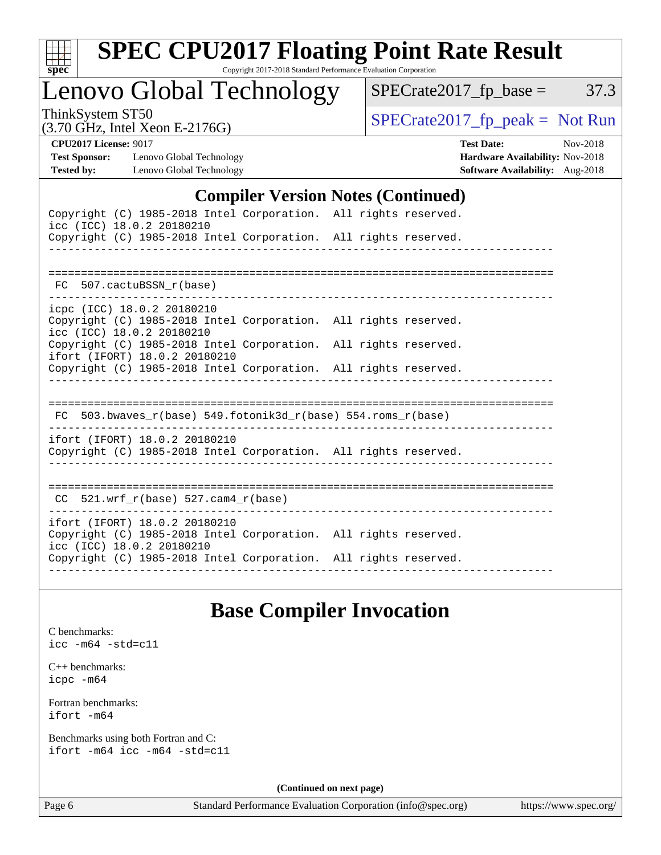

# **[SPEC CPU2017 Floating Point Rate Result](http://www.spec.org/auto/cpu2017/Docs/result-fields.html#SPECCPU2017FloatingPointRateResult)**

Copyright 2017-2018 Standard Performance Evaluation Corporation

Lenovo Global Technology

 $SPECrate2017_fp\_peak = Not Run$ 

 $SPECTate2017_fp\_base = 37.3$ 

(3.70 GHz, Intel Xeon E-2176G)

**[CPU2017 License:](http://www.spec.org/auto/cpu2017/Docs/result-fields.html#CPU2017License)** 9017 **[Test Date:](http://www.spec.org/auto/cpu2017/Docs/result-fields.html#TestDate)** Nov-2018 **[Test Sponsor:](http://www.spec.org/auto/cpu2017/Docs/result-fields.html#TestSponsor)** Lenovo Global Technology **[Hardware Availability:](http://www.spec.org/auto/cpu2017/Docs/result-fields.html#HardwareAvailability)** Nov-2018 **[Tested by:](http://www.spec.org/auto/cpu2017/Docs/result-fields.html#Testedby)** Lenovo Global Technology **[Software Availability:](http://www.spec.org/auto/cpu2017/Docs/result-fields.html#SoftwareAvailability)** Aug-2018

### **[Compiler Version Notes \(Continued\)](http://www.spec.org/auto/cpu2017/Docs/result-fields.html#CompilerVersionNotes)**

| icc (ICC) 18.0.2 20180210             |  | Copyright (C) 1985-2018 Intel Corporation. All rights reserved. |  |                          |  |
|---------------------------------------|--|-----------------------------------------------------------------|--|--------------------------|--|
|                                       |  | Copyright (C) 1985-2018 Intel Corporation. All rights reserved. |  |                          |  |
|                                       |  |                                                                 |  |                          |  |
| FC 507.cactuBSSN r(base)              |  |                                                                 |  |                          |  |
| icpc (ICC) 18.0.2 20180210            |  |                                                                 |  |                          |  |
| icc (ICC) 18.0.2 20180210             |  | Copyright (C) 1985-2018 Intel Corporation. All rights reserved. |  |                          |  |
| ifort (IFORT) 18.0.2 20180210         |  | Copyright (C) 1985-2018 Intel Corporation. All rights reserved. |  |                          |  |
|                                       |  | Copyright (C) 1985-2018 Intel Corporation. All rights reserved. |  |                          |  |
|                                       |  |                                                                 |  | ________________________ |  |
|                                       |  | FC 503.bwaves_r(base) 549.fotonik3d_r(base) 554.roms_r(base)    |  |                          |  |
| ifort (IFORT) 18.0.2 20180210         |  |                                                                 |  |                          |  |
|                                       |  | Copyright (C) 1985-2018 Intel Corporation. All rights reserved. |  |                          |  |
|                                       |  |                                                                 |  |                          |  |
| $CC$ 521.wrf_r(base) 527.cam4_r(base) |  |                                                                 |  |                          |  |
| ifort (IFORT) 18.0.2 20180210         |  |                                                                 |  |                          |  |
| icc (ICC) 18.0.2 20180210             |  | Copyright (C) 1985-2018 Intel Corporation. All rights reserved. |  |                          |  |
|                                       |  | Copyright (C) 1985-2018 Intel Corporation. All rights reserved. |  |                          |  |
|                                       |  |                                                                 |  |                          |  |

## **[Base Compiler Invocation](http://www.spec.org/auto/cpu2017/Docs/result-fields.html#BaseCompilerInvocation)**

[C benchmarks](http://www.spec.org/auto/cpu2017/Docs/result-fields.html#Cbenchmarks): [icc -m64 -std=c11](http://www.spec.org/cpu2017/results/res2018q4/cpu2017-20181113-09703.flags.html#user_CCbase_intel_icc_64bit_c11_33ee0cdaae7deeeab2a9725423ba97205ce30f63b9926c2519791662299b76a0318f32ddfffdc46587804de3178b4f9328c46fa7c2b0cd779d7a61945c91cd35)

[C++ benchmarks:](http://www.spec.org/auto/cpu2017/Docs/result-fields.html#CXXbenchmarks) [icpc -m64](http://www.spec.org/cpu2017/results/res2018q4/cpu2017-20181113-09703.flags.html#user_CXXbase_intel_icpc_64bit_4ecb2543ae3f1412ef961e0650ca070fec7b7afdcd6ed48761b84423119d1bf6bdf5cad15b44d48e7256388bc77273b966e5eb805aefd121eb22e9299b2ec9d9)

[Fortran benchmarks](http://www.spec.org/auto/cpu2017/Docs/result-fields.html#Fortranbenchmarks): [ifort -m64](http://www.spec.org/cpu2017/results/res2018q4/cpu2017-20181113-09703.flags.html#user_FCbase_intel_ifort_64bit_24f2bb282fbaeffd6157abe4f878425411749daecae9a33200eee2bee2fe76f3b89351d69a8130dd5949958ce389cf37ff59a95e7a40d588e8d3a57e0c3fd751)

[Benchmarks using both Fortran and C](http://www.spec.org/auto/cpu2017/Docs/result-fields.html#BenchmarksusingbothFortranandC): [ifort -m64](http://www.spec.org/cpu2017/results/res2018q4/cpu2017-20181113-09703.flags.html#user_CC_FCbase_intel_ifort_64bit_24f2bb282fbaeffd6157abe4f878425411749daecae9a33200eee2bee2fe76f3b89351d69a8130dd5949958ce389cf37ff59a95e7a40d588e8d3a57e0c3fd751) [icc -m64 -std=c11](http://www.spec.org/cpu2017/results/res2018q4/cpu2017-20181113-09703.flags.html#user_CC_FCbase_intel_icc_64bit_c11_33ee0cdaae7deeeab2a9725423ba97205ce30f63b9926c2519791662299b76a0318f32ddfffdc46587804de3178b4f9328c46fa7c2b0cd779d7a61945c91cd35)

**(Continued on next page)**

Page 6 Standard Performance Evaluation Corporation [\(info@spec.org\)](mailto:info@spec.org) <https://www.spec.org/>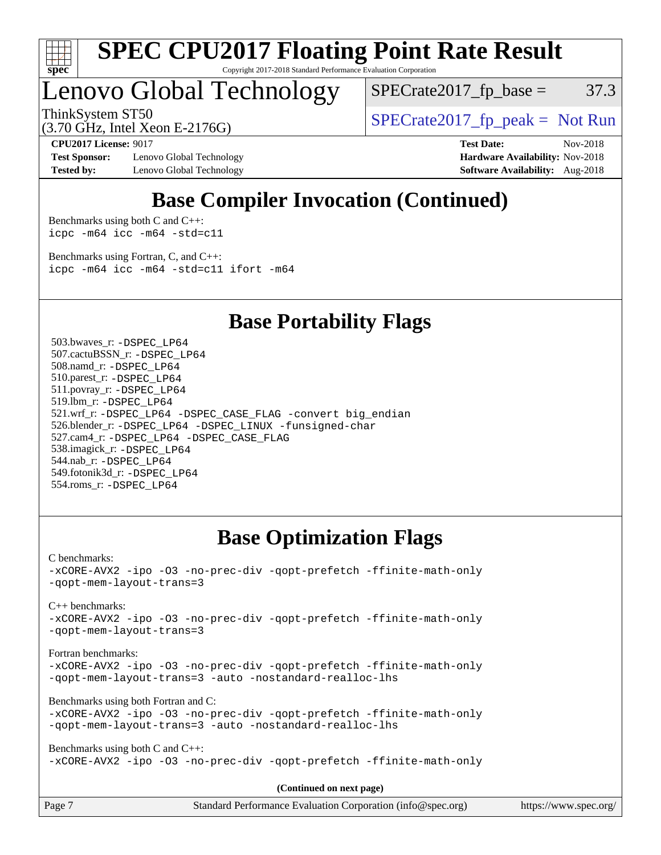

#### **[SPEC CPU2017 Floating Point Rate Result](http://www.spec.org/auto/cpu2017/Docs/result-fields.html#SPECCPU2017FloatingPointRateResult)** Copyright 2017-2018 Standard Performance Evaluation Corporation

# Lenovo Global Technology

 $SPECTate2017<sub>fp</sub> base =  $37.3$$ 

(3.70 GHz, Intel Xeon E-2176G)

ThinkSystem ST50<br>  $SPECrate2017$  fp\_peak = Not Run

**[Test Sponsor:](http://www.spec.org/auto/cpu2017/Docs/result-fields.html#TestSponsor)** Lenovo Global Technology **[Hardware Availability:](http://www.spec.org/auto/cpu2017/Docs/result-fields.html#HardwareAvailability)** Nov-2018 **[Tested by:](http://www.spec.org/auto/cpu2017/Docs/result-fields.html#Testedby)** Lenovo Global Technology **[Software Availability:](http://www.spec.org/auto/cpu2017/Docs/result-fields.html#SoftwareAvailability)** Aug-2018

**[CPU2017 License:](http://www.spec.org/auto/cpu2017/Docs/result-fields.html#CPU2017License)** 9017 **[Test Date:](http://www.spec.org/auto/cpu2017/Docs/result-fields.html#TestDate)** Nov-2018

## **[Base Compiler Invocation \(Continued\)](http://www.spec.org/auto/cpu2017/Docs/result-fields.html#BaseCompilerInvocation)**

[Benchmarks using both C and C++](http://www.spec.org/auto/cpu2017/Docs/result-fields.html#BenchmarksusingbothCandCXX): [icpc -m64](http://www.spec.org/cpu2017/results/res2018q4/cpu2017-20181113-09703.flags.html#user_CC_CXXbase_intel_icpc_64bit_4ecb2543ae3f1412ef961e0650ca070fec7b7afdcd6ed48761b84423119d1bf6bdf5cad15b44d48e7256388bc77273b966e5eb805aefd121eb22e9299b2ec9d9) [icc -m64 -std=c11](http://www.spec.org/cpu2017/results/res2018q4/cpu2017-20181113-09703.flags.html#user_CC_CXXbase_intel_icc_64bit_c11_33ee0cdaae7deeeab2a9725423ba97205ce30f63b9926c2519791662299b76a0318f32ddfffdc46587804de3178b4f9328c46fa7c2b0cd779d7a61945c91cd35)

[Benchmarks using Fortran, C, and C++:](http://www.spec.org/auto/cpu2017/Docs/result-fields.html#BenchmarksusingFortranCandCXX) [icpc -m64](http://www.spec.org/cpu2017/results/res2018q4/cpu2017-20181113-09703.flags.html#user_CC_CXX_FCbase_intel_icpc_64bit_4ecb2543ae3f1412ef961e0650ca070fec7b7afdcd6ed48761b84423119d1bf6bdf5cad15b44d48e7256388bc77273b966e5eb805aefd121eb22e9299b2ec9d9) [icc -m64 -std=c11](http://www.spec.org/cpu2017/results/res2018q4/cpu2017-20181113-09703.flags.html#user_CC_CXX_FCbase_intel_icc_64bit_c11_33ee0cdaae7deeeab2a9725423ba97205ce30f63b9926c2519791662299b76a0318f32ddfffdc46587804de3178b4f9328c46fa7c2b0cd779d7a61945c91cd35) [ifort -m64](http://www.spec.org/cpu2017/results/res2018q4/cpu2017-20181113-09703.flags.html#user_CC_CXX_FCbase_intel_ifort_64bit_24f2bb282fbaeffd6157abe4f878425411749daecae9a33200eee2bee2fe76f3b89351d69a8130dd5949958ce389cf37ff59a95e7a40d588e8d3a57e0c3fd751)

**[Base Portability Flags](http://www.spec.org/auto/cpu2017/Docs/result-fields.html#BasePortabilityFlags)**

 503.bwaves\_r: [-DSPEC\\_LP64](http://www.spec.org/cpu2017/results/res2018q4/cpu2017-20181113-09703.flags.html#suite_basePORTABILITY503_bwaves_r_DSPEC_LP64) 507.cactuBSSN\_r: [-DSPEC\\_LP64](http://www.spec.org/cpu2017/results/res2018q4/cpu2017-20181113-09703.flags.html#suite_basePORTABILITY507_cactuBSSN_r_DSPEC_LP64) 508.namd\_r: [-DSPEC\\_LP64](http://www.spec.org/cpu2017/results/res2018q4/cpu2017-20181113-09703.flags.html#suite_basePORTABILITY508_namd_r_DSPEC_LP64) 510.parest\_r: [-DSPEC\\_LP64](http://www.spec.org/cpu2017/results/res2018q4/cpu2017-20181113-09703.flags.html#suite_basePORTABILITY510_parest_r_DSPEC_LP64) 511.povray\_r: [-DSPEC\\_LP64](http://www.spec.org/cpu2017/results/res2018q4/cpu2017-20181113-09703.flags.html#suite_basePORTABILITY511_povray_r_DSPEC_LP64) 519.lbm\_r: [-DSPEC\\_LP64](http://www.spec.org/cpu2017/results/res2018q4/cpu2017-20181113-09703.flags.html#suite_basePORTABILITY519_lbm_r_DSPEC_LP64) 521.wrf\_r: [-DSPEC\\_LP64](http://www.spec.org/cpu2017/results/res2018q4/cpu2017-20181113-09703.flags.html#suite_basePORTABILITY521_wrf_r_DSPEC_LP64) [-DSPEC\\_CASE\\_FLAG](http://www.spec.org/cpu2017/results/res2018q4/cpu2017-20181113-09703.flags.html#b521.wrf_r_baseCPORTABILITY_DSPEC_CASE_FLAG) [-convert big\\_endian](http://www.spec.org/cpu2017/results/res2018q4/cpu2017-20181113-09703.flags.html#user_baseFPORTABILITY521_wrf_r_convert_big_endian_c3194028bc08c63ac5d04de18c48ce6d347e4e562e8892b8bdbdc0214820426deb8554edfa529a3fb25a586e65a3d812c835984020483e7e73212c4d31a38223) 526.blender\_r: [-DSPEC\\_LP64](http://www.spec.org/cpu2017/results/res2018q4/cpu2017-20181113-09703.flags.html#suite_basePORTABILITY526_blender_r_DSPEC_LP64) [-DSPEC\\_LINUX](http://www.spec.org/cpu2017/results/res2018q4/cpu2017-20181113-09703.flags.html#b526.blender_r_baseCPORTABILITY_DSPEC_LINUX) [-funsigned-char](http://www.spec.org/cpu2017/results/res2018q4/cpu2017-20181113-09703.flags.html#user_baseCPORTABILITY526_blender_r_force_uchar_40c60f00ab013830e2dd6774aeded3ff59883ba5a1fc5fc14077f794d777847726e2a5858cbc7672e36e1b067e7e5c1d9a74f7176df07886a243d7cc18edfe67) 527.cam4\_r: [-DSPEC\\_LP64](http://www.spec.org/cpu2017/results/res2018q4/cpu2017-20181113-09703.flags.html#suite_basePORTABILITY527_cam4_r_DSPEC_LP64) [-DSPEC\\_CASE\\_FLAG](http://www.spec.org/cpu2017/results/res2018q4/cpu2017-20181113-09703.flags.html#b527.cam4_r_baseCPORTABILITY_DSPEC_CASE_FLAG) 538.imagick\_r: [-DSPEC\\_LP64](http://www.spec.org/cpu2017/results/res2018q4/cpu2017-20181113-09703.flags.html#suite_basePORTABILITY538_imagick_r_DSPEC_LP64) 544.nab\_r: [-DSPEC\\_LP64](http://www.spec.org/cpu2017/results/res2018q4/cpu2017-20181113-09703.flags.html#suite_basePORTABILITY544_nab_r_DSPEC_LP64) 549.fotonik3d\_r: [-DSPEC\\_LP64](http://www.spec.org/cpu2017/results/res2018q4/cpu2017-20181113-09703.flags.html#suite_basePORTABILITY549_fotonik3d_r_DSPEC_LP64) 554.roms\_r: [-DSPEC\\_LP64](http://www.spec.org/cpu2017/results/res2018q4/cpu2017-20181113-09703.flags.html#suite_basePORTABILITY554_roms_r_DSPEC_LP64)

## **[Base Optimization Flags](http://www.spec.org/auto/cpu2017/Docs/result-fields.html#BaseOptimizationFlags)**

[C benchmarks](http://www.spec.org/auto/cpu2017/Docs/result-fields.html#Cbenchmarks):

[-xCORE-AVX2](http://www.spec.org/cpu2017/results/res2018q4/cpu2017-20181113-09703.flags.html#user_CCbase_f-xCORE-AVX2) [-ipo](http://www.spec.org/cpu2017/results/res2018q4/cpu2017-20181113-09703.flags.html#user_CCbase_f-ipo) [-O3](http://www.spec.org/cpu2017/results/res2018q4/cpu2017-20181113-09703.flags.html#user_CCbase_f-O3) [-no-prec-div](http://www.spec.org/cpu2017/results/res2018q4/cpu2017-20181113-09703.flags.html#user_CCbase_f-no-prec-div) [-qopt-prefetch](http://www.spec.org/cpu2017/results/res2018q4/cpu2017-20181113-09703.flags.html#user_CCbase_f-qopt-prefetch) [-ffinite-math-only](http://www.spec.org/cpu2017/results/res2018q4/cpu2017-20181113-09703.flags.html#user_CCbase_f_finite_math_only_cb91587bd2077682c4b38af759c288ed7c732db004271a9512da14a4f8007909a5f1427ecbf1a0fb78ff2a814402c6114ac565ca162485bbcae155b5e4258871) [-qopt-mem-layout-trans=3](http://www.spec.org/cpu2017/results/res2018q4/cpu2017-20181113-09703.flags.html#user_CCbase_f-qopt-mem-layout-trans_de80db37974c74b1f0e20d883f0b675c88c3b01e9d123adea9b28688d64333345fb62bc4a798493513fdb68f60282f9a726aa07f478b2f7113531aecce732043)

[C++ benchmarks:](http://www.spec.org/auto/cpu2017/Docs/result-fields.html#CXXbenchmarks)

[-xCORE-AVX2](http://www.spec.org/cpu2017/results/res2018q4/cpu2017-20181113-09703.flags.html#user_CXXbase_f-xCORE-AVX2) [-ipo](http://www.spec.org/cpu2017/results/res2018q4/cpu2017-20181113-09703.flags.html#user_CXXbase_f-ipo) [-O3](http://www.spec.org/cpu2017/results/res2018q4/cpu2017-20181113-09703.flags.html#user_CXXbase_f-O3) [-no-prec-div](http://www.spec.org/cpu2017/results/res2018q4/cpu2017-20181113-09703.flags.html#user_CXXbase_f-no-prec-div) [-qopt-prefetch](http://www.spec.org/cpu2017/results/res2018q4/cpu2017-20181113-09703.flags.html#user_CXXbase_f-qopt-prefetch) [-ffinite-math-only](http://www.spec.org/cpu2017/results/res2018q4/cpu2017-20181113-09703.flags.html#user_CXXbase_f_finite_math_only_cb91587bd2077682c4b38af759c288ed7c732db004271a9512da14a4f8007909a5f1427ecbf1a0fb78ff2a814402c6114ac565ca162485bbcae155b5e4258871) [-qopt-mem-layout-trans=3](http://www.spec.org/cpu2017/results/res2018q4/cpu2017-20181113-09703.flags.html#user_CXXbase_f-qopt-mem-layout-trans_de80db37974c74b1f0e20d883f0b675c88c3b01e9d123adea9b28688d64333345fb62bc4a798493513fdb68f60282f9a726aa07f478b2f7113531aecce732043)

[Fortran benchmarks](http://www.spec.org/auto/cpu2017/Docs/result-fields.html#Fortranbenchmarks):

[-xCORE-AVX2](http://www.spec.org/cpu2017/results/res2018q4/cpu2017-20181113-09703.flags.html#user_FCbase_f-xCORE-AVX2) [-ipo](http://www.spec.org/cpu2017/results/res2018q4/cpu2017-20181113-09703.flags.html#user_FCbase_f-ipo) [-O3](http://www.spec.org/cpu2017/results/res2018q4/cpu2017-20181113-09703.flags.html#user_FCbase_f-O3) [-no-prec-div](http://www.spec.org/cpu2017/results/res2018q4/cpu2017-20181113-09703.flags.html#user_FCbase_f-no-prec-div) [-qopt-prefetch](http://www.spec.org/cpu2017/results/res2018q4/cpu2017-20181113-09703.flags.html#user_FCbase_f-qopt-prefetch) [-ffinite-math-only](http://www.spec.org/cpu2017/results/res2018q4/cpu2017-20181113-09703.flags.html#user_FCbase_f_finite_math_only_cb91587bd2077682c4b38af759c288ed7c732db004271a9512da14a4f8007909a5f1427ecbf1a0fb78ff2a814402c6114ac565ca162485bbcae155b5e4258871) [-qopt-mem-layout-trans=3](http://www.spec.org/cpu2017/results/res2018q4/cpu2017-20181113-09703.flags.html#user_FCbase_f-qopt-mem-layout-trans_de80db37974c74b1f0e20d883f0b675c88c3b01e9d123adea9b28688d64333345fb62bc4a798493513fdb68f60282f9a726aa07f478b2f7113531aecce732043) [-auto](http://www.spec.org/cpu2017/results/res2018q4/cpu2017-20181113-09703.flags.html#user_FCbase_f-auto) [-nostandard-realloc-lhs](http://www.spec.org/cpu2017/results/res2018q4/cpu2017-20181113-09703.flags.html#user_FCbase_f_2003_std_realloc_82b4557e90729c0f113870c07e44d33d6f5a304b4f63d4c15d2d0f1fab99f5daaed73bdb9275d9ae411527f28b936061aa8b9c8f2d63842963b95c9dd6426b8a)

[Benchmarks using both Fortran and C](http://www.spec.org/auto/cpu2017/Docs/result-fields.html#BenchmarksusingbothFortranandC):

```
-xCORE-AVX2 -ipo -O3 -no-prec-div -qopt-prefetch -ffinite-math-only
-qopt-mem-layout-trans=3 -auto -nostandard-realloc-lhs
```
[Benchmarks using both C and C++](http://www.spec.org/auto/cpu2017/Docs/result-fields.html#BenchmarksusingbothCandCXX): [-xCORE-AVX2](http://www.spec.org/cpu2017/results/res2018q4/cpu2017-20181113-09703.flags.html#user_CC_CXXbase_f-xCORE-AVX2) [-ipo](http://www.spec.org/cpu2017/results/res2018q4/cpu2017-20181113-09703.flags.html#user_CC_CXXbase_f-ipo) [-O3](http://www.spec.org/cpu2017/results/res2018q4/cpu2017-20181113-09703.flags.html#user_CC_CXXbase_f-O3) [-no-prec-div](http://www.spec.org/cpu2017/results/res2018q4/cpu2017-20181113-09703.flags.html#user_CC_CXXbase_f-no-prec-div) [-qopt-prefetch](http://www.spec.org/cpu2017/results/res2018q4/cpu2017-20181113-09703.flags.html#user_CC_CXXbase_f-qopt-prefetch) [-ffinite-math-only](http://www.spec.org/cpu2017/results/res2018q4/cpu2017-20181113-09703.flags.html#user_CC_CXXbase_f_finite_math_only_cb91587bd2077682c4b38af759c288ed7c732db004271a9512da14a4f8007909a5f1427ecbf1a0fb78ff2a814402c6114ac565ca162485bbcae155b5e4258871)

**(Continued on next page)**

| Page 7 | Standard Performance Evaluation Corporation (info@spec.org) | https://www.spec.org/ |
|--------|-------------------------------------------------------------|-----------------------|